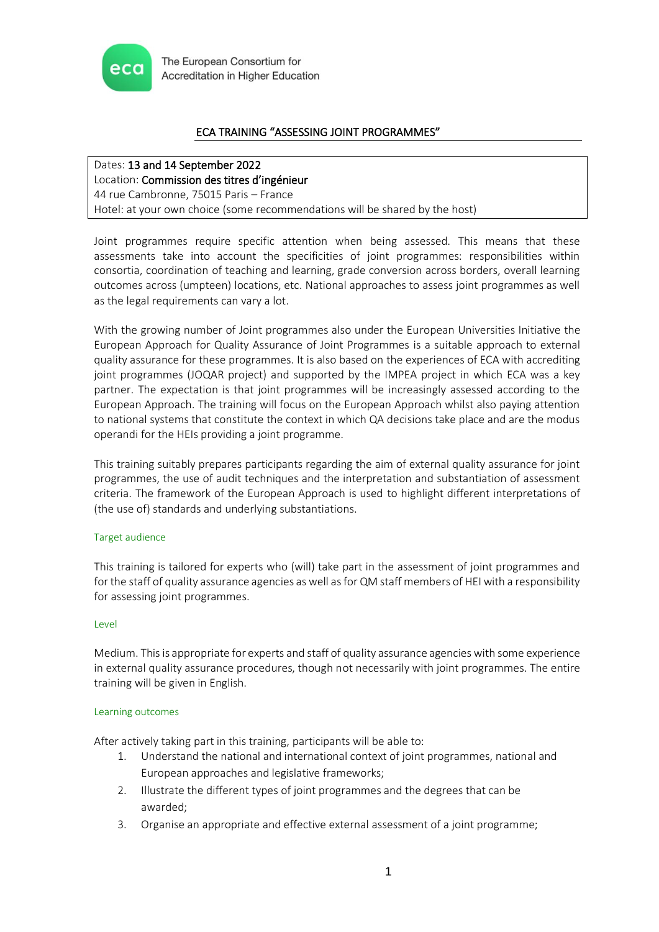

# ECA TRAINING "ASSESSING JOINT PROGRAMMES"

# Dates: 13 and 14 September 2022

Location: Commission des titres d'ingénieur 44 rue Cambronne, 75015 Paris – France Hotel: at your own choice (some recommendations will be shared by the host)

Joint programmes require specific attention when being assessed. This means that these assessments take into account the specificities of joint programmes: responsibilities within consortia, coordination of teaching and learning, grade conversion across borders, overall learning outcomes across (umpteen) locations, etc. National approaches to assess joint programmes as well as the legal requirements can vary a lot.

With the growing number of Joint programmes also under the European Universities Initiative the European Approach for Quality Assurance of Joint Programmes is a suitable approach to external quality assurance for these programmes. It is also based on the experiences of ECA with accrediting joint programmes (JOQAR project) and supported by the IMPEA project in which ECA was a key partner. The expectation is that joint programmes will be increasingly assessed according to the European Approach. The training will focus on the European Approach whilst also paying attention to national systems that constitute the context in which QA decisions take place and are the modus operandi for the HEIs providing a joint programme.

This training suitably prepares participants regarding the aim of external quality assurance for joint programmes, the use of audit techniques and the interpretation and substantiation of assessment criteria. The framework of the European Approach is used to highlight different interpretations of (the use of) standards and underlying substantiations.

## Target audience

This training is tailored for experts who (will) take part in the assessment of joint programmes and for the staff of quality assurance agencies as well as for QM staff members of HEI with a responsibility for assessing joint programmes.

## Level

Medium. This is appropriate for experts and staff of quality assurance agencies with some experience in external quality assurance procedures, though not necessarily with joint programmes. The entire training will be given in English.

## Learning outcomes

After actively taking part in this training, participants will be able to:

- 1. Understand the national and international context of joint programmes, national and European approaches and legislative frameworks;
- 2. Illustrate the different types of joint programmes and the degrees that can be awarded;
- 3. Organise an appropriate and effective external assessment of a joint programme;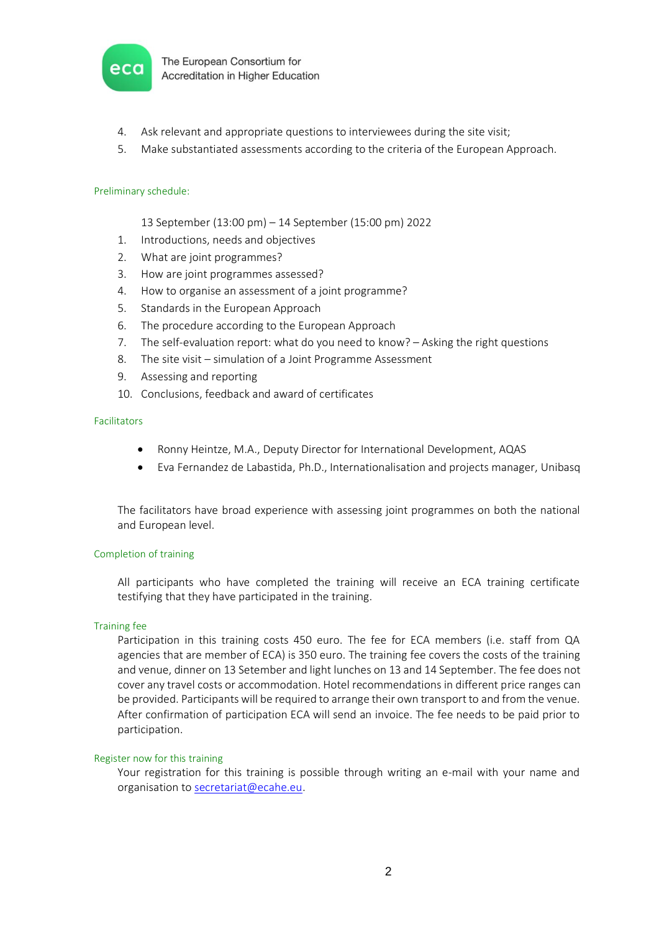

- 4. Ask relevant and appropriate questions to interviewees during the site visit;
- 5. Make substantiated assessments according to the criteria of the European Approach.

## Preliminary schedule:

- 13 September (13:00 pm) 14 September (15:00 pm) 2022
- 1. Introductions, needs and objectives
- 2. What are joint programmes?
- 3. How are joint programmes assessed?
- 4. How to organise an assessment of a joint programme?
- 5. Standards in the European Approach
- 6. The procedure according to the European Approach
- 7. The self-evaluation report: what do you need to know? Asking the right questions
- 8. The site visit simulation of a Joint Programme Assessment
- 9. Assessing and reporting
- 10. Conclusions, feedback and award of certificates

#### Facilitators

- Ronny Heintze, M.A., Deputy Director for International Development, AQAS
- Eva Fernandez de Labastida, Ph.D., Internationalisation and projects manager, Unibasq

The facilitators have broad experience with assessing joint programmes on both the national and European level.

## Completion of training

All participants who have completed the training will receive an ECA training certificate testifying that they have participated in the training.

## Training fee

Participation in this training costs 450 euro. The fee for ECA members (i.e. staff from QA agencies that are member of ECA) is 350 euro. The training fee covers the costs of the training and venue, dinner on 13 Setember and light lunches on 13 and 14 September. The fee does not cover any travel costs or accommodation. Hotel recommendations in different price ranges can be provided. Participants will be required to arrange their own transport to and from the venue. After confirmation of participation ECA will send an invoice. The fee needs to be paid prior to participation.

#### Register now for this training

Your registration for this training is possible through writing an e-mail with your name and organisation t[o secretariat@ecahe.eu.](mailto:secretariat@ecahe.eu)